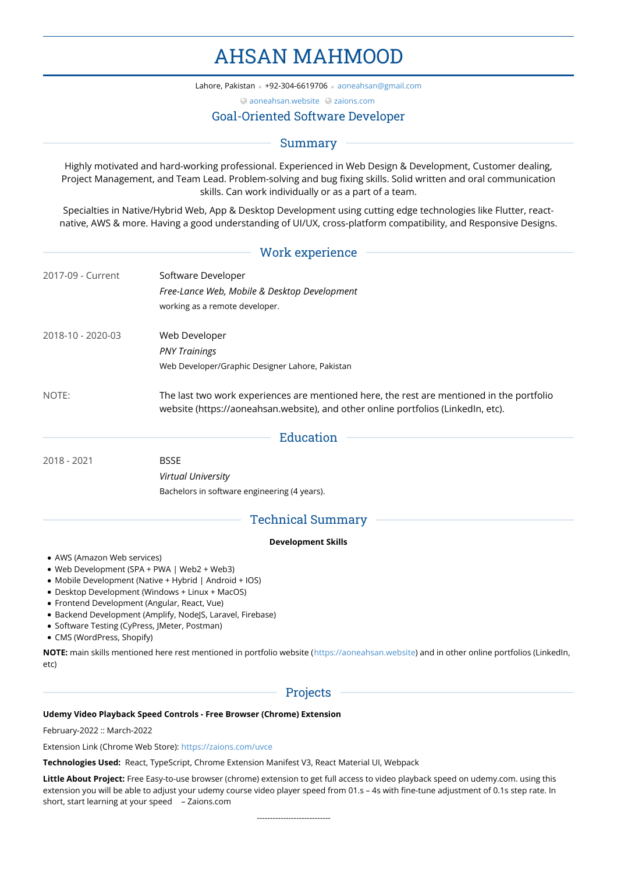# AHSAN MAHMOOD

Lahore, Pakistan • +92-304-6619706 • [aoneahsan@gmail.com](mailto:aoneahsan@gmail.com)

[aoneahsan.website](https://aoneahsan.website) [zaions.com](https://zaions.com)

# Goal-Oriented Software Developer

# Summary

Highly motivated and hard-working professional. Experienced in Web Design & Development, Customer dealing, Project Management, and Team Lead. Problem-solving and bug fixing skills. Solid written and oral communication skills. Can work individually or as a part of a team.

Specialties in Native/Hybrid Web, App & Desktop Development using cutting edge technologies like Flutter, react native, AWS & more. Having a good understanding of UI/UX, cross-platform compatibility, and Responsive Designs.

## Work experience

| 2017-09 - Current | Software Developer<br>Free-Lance Web, Mobile & Desktop Development                                                                                                             |  |  |
|-------------------|--------------------------------------------------------------------------------------------------------------------------------------------------------------------------------|--|--|
|                   |                                                                                                                                                                                |  |  |
|                   | working as a remote developer.                                                                                                                                                 |  |  |
| 2018-10 - 2020-03 | Web Developer                                                                                                                                                                  |  |  |
|                   | <b>PNY Trainings</b>                                                                                                                                                           |  |  |
|                   | Web Developer/Graphic Designer Lahore, Pakistan                                                                                                                                |  |  |
| NOTE:             | The last two work experiences are mentioned here, the rest are mentioned in the portfolio<br>website (https://aoneahsan.website), and other online portfolios (LinkedIn, etc). |  |  |

|             |             | Education |  |
|-------------|-------------|-----------|--|
|             |             |           |  |
| 2018 - 2021 | <b>BSSE</b> |           |  |

*Virtual University*

Bachelors in software engineering (4 years).

# Technical Summary

## **Development Skills**

- AWS (Amazon Web services)
- Web Development (SPA + PWA | Web2 + Web3)
- Mobile Development (Native + Hybrid | Android + IOS)
- Desktop Development (Windows + Linux + MacOS)
- Frontend Development (Angular, React, Vue)
- Backend Development (Amplify, NodeJS, Laravel, Firebase)
- Software Testing (CyPress, JMeter, Postman)
- CMS (WordPress, Shopify)

**NOTE:** main skills mentioned here rest mentioned in portfolio website (<https://aoneahsan.website>) and in other online portfolios (LinkedIn, etc)

# Projects

## **Udemy Video Playback Speed Controls - Free Browser (Chrome) Extension**

February-2022 :: March-2022

Extension Link (Chrome Web Store): <https://zaions.com/uvce>

**Technologies Used:** React, TypeScript, Chrome Extension Manifest V3, React Material UI, Webpack

**Little About Project:** Free Easy-to-use browser (chrome) extension to get full access to video playback speed on udemy.com. using this extension you will be able to adjust your udemy course video player speed from 01.s – 4s with fine-tune adjustment of 0.1s step rate. In short, start learning at your speed – Zaions.com

----------------------------